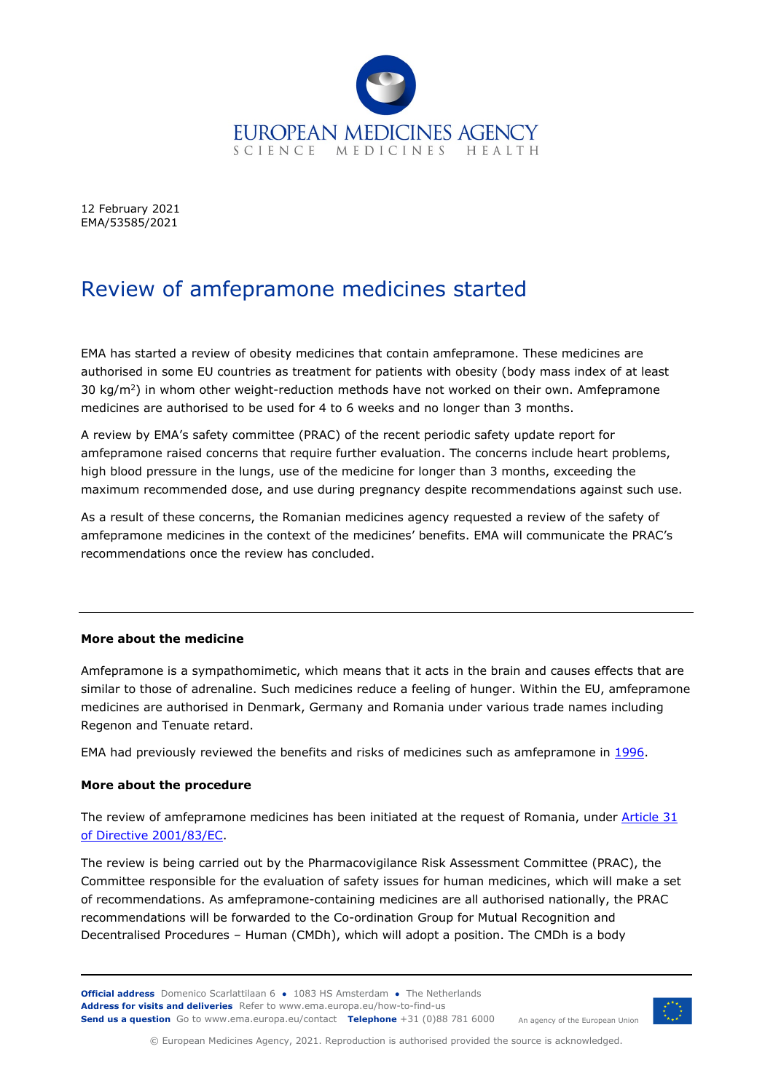

12 February 2021 EMA/53585/2021

## Review of amfepramone medicines started

EMA has started a review of obesity medicines that contain amfepramone. These medicines are authorised in some EU countries as treatment for patients with obesity (body mass index of at least 30 kg/ $m^2$ ) in whom other weight-reduction methods have not worked on their own. Amfepramone medicines are authorised to be used for 4 to 6 weeks and no longer than 3 months.

A review by EMA's safety committee (PRAC) of the recent periodic safety update report for amfepramone raised concerns that require further evaluation. The concerns include heart problems, high blood pressure in the lungs, use of the medicine for longer than 3 months, exceeding the maximum recommended dose, and use during pregnancy despite recommendations against such use.

As a result of these concerns, the Romanian medicines agency requested a review of the safety of amfepramone medicines in the context of the medicines' benefits. EMA will communicate the PRAC's recommendations once the review has concluded.

## **More about the medicine**

Amfepramone is a sympathomimetic, which means that it acts in the brain and causes effects that are similar to those of adrenaline. Such medicines reduce a feeling of hunger. Within the EU, amfepramone medicines are authorised in Denmark, Germany and Romania under various trade names including Regenon and Tenuate retard.

EMA had previously reviewed the benefits and risks of medicines such as amfepramone in [1996.](https://www.ema.europa.eu/en/medicines/human/referrals/anorectics)

## **More about the procedure**

The review of amfepramone medicines has been initiated at the request of Romania, under [Article 31](https://www.ema.europa.eu/en/human-regulatory/post-authorisation/referral-procedures)  [of Directive 2001/83/EC.](https://www.ema.europa.eu/en/human-regulatory/post-authorisation/referral-procedures)

The review is being carried out by the Pharmacovigilance Risk Assessment Committee (PRAC), the Committee responsible for the evaluation of safety issues for human medicines, which will make a set of recommendations. As amfepramone-containing medicines are all authorised nationally, the PRAC recommendations will be forwarded to the Co-ordination Group for Mutual Recognition and Decentralised Procedures – Human (CMDh), which will adopt a position. The CMDh is a body

**Official address** Domenico Scarlattilaan 6 **●** 1083 HS Amsterdam **●** The Netherlands An agency of the European Union **Address for visits and deliveries** Refer to [www.ema.europa.eu/how-to-find-us](http://www.ema.europa.eu/how-to-find-us) **Send us a question** Go t[o www.ema.europa.eu/contact](http://www.ema.europa.eu/contact) **Telephone** +31 (0)88 781 6000



© European Medicines Agency, 2021. Reproduction is authorised provided the source is acknowledged.